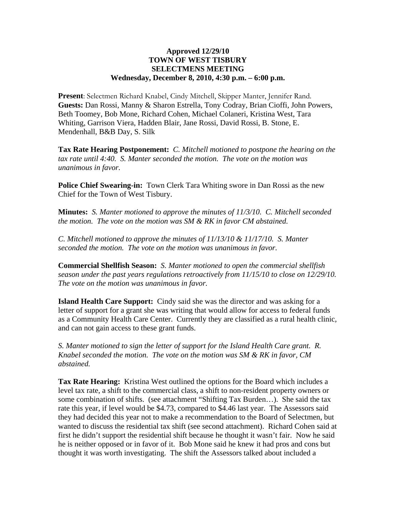## **Approved 12/29/10 TOWN OF WEST TISBURY SELECTMENS MEETING Wednesday, December 8, 2010, 4:30 p.m. – 6:00 p.m.**

**Present**: Selectmen Richard Knabel, Cindy Mitchell, Skipper Manter, Jennifer Rand. **Guests:** Dan Rossi, Manny & Sharon Estrella, Tony Codray, Brian Cioffi, John Powers, Beth Toomey, Bob Mone, Richard Cohen, Michael Colaneri, Kristina West, Tara Whiting, Garrison Viera, Hadden Blair, Jane Rossi, David Rossi, B. Stone, E. Mendenhall, B&B Day, S. Silk

**Tax Rate Hearing Postponement:** *C. Mitchell motioned to postpone the hearing on the tax rate until 4:40. S. Manter seconded the motion. The vote on the motion was unanimous in favor.*

**Police Chief Swearing-in:** Town Clerk Tara Whiting swore in Dan Rossi as the new Chief for the Town of West Tisbury.

**Minutes:** *S. Manter motioned to approve the minutes of 11/3/10. C. Mitchell seconded the motion. The vote on the motion was SM & RK in favor CM abstained.* 

*C. Mitchell motioned to approve the minutes of 11/13/10 & 11/17/10. S. Manter seconded the motion. The vote on the motion was unanimous in favor.*

**Commercial Shellfish Season:** *S. Manter motioned to open the commercial shellfish season under the past years regulations retroactively from 11/15/10 to close on 12/29/10. The vote on the motion was unanimous in favor.*

**Island Health Care Support:** Cindy said she was the director and was asking for a letter of support for a grant she was writing that would allow for access to federal funds as a Community Health Care Center. Currently they are classified as a rural health clinic, and can not gain access to these grant funds.

*S. Manter motioned to sign the letter of support for the Island Health Care grant. R. Knabel seconded the motion. The vote on the motion was SM & RK in favor, CM abstained.*

**Tax Rate Hearing:** Kristina West outlined the options for the Board which includes a level tax rate, a shift to the commercial class, a shift to non-resident property owners or some combination of shifts. (see attachment "Shifting Tax Burden…). She said the tax rate this year, if level would be \$4.73, compared to \$4.46 last year. The Assessors said they had decided this year not to make a recommendation to the Board of Selectmen, but wanted to discuss the residential tax shift (see second attachment). Richard Cohen said at first he didn't support the residential shift because he thought it wasn't fair. Now he said he is neither opposed or in favor of it. Bob Mone said he knew it had pros and cons but thought it was worth investigating. The shift the Assessors talked about included a